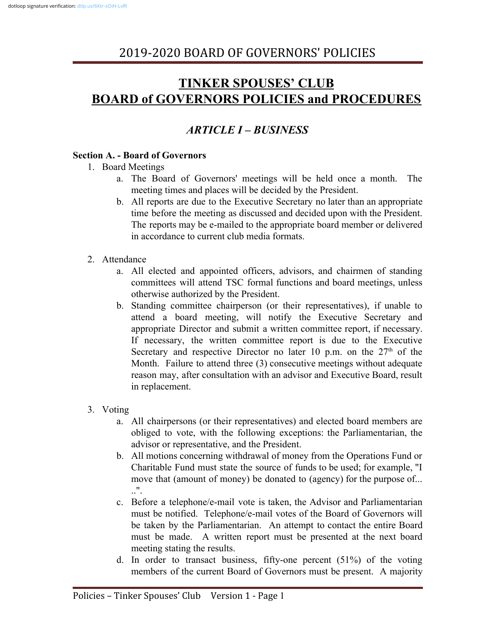# **TINKER SPOUSES' CLUB BOARD of GOVERNORS POLICIES and PROCEDURES**

## *ARTICLE I – BUSINESS*

#### **Section A. - Board of Governors**

- 1. Board Meetings
	- a. The Board of Governors' meetings will be held once a month. The meeting times and places will be decided by the President.
	- b. All reports are due to the Executive Secretary no later than an appropriate time before the meeting as discussed and decided upon with the President. The reports may be e-mailed to the appropriate board member or delivered in accordance to current club media formats.
- 2. Attendance
	- a. All elected and appointed officers, advisors, and chairmen of standing committees will attend TSC formal functions and board meetings, unless otherwise authorized by the President.
	- b. Standing committee chairperson (or their representatives), if unable to attend a board meeting, will notify the Executive Secretary and appropriate Director and submit a written committee report, if necessary. If necessary, the written committee report is due to the Executive Secretary and respective Director no later 10 p.m. on the  $27<sup>th</sup>$  of the Month. Failure to attend three (3) consecutive meetings without adequate reason may, after consultation with an advisor and Executive Board, result in replacement.
- 3. Voting
	- a. All chairpersons (or their representatives) and elected board members are obliged to vote, with the following exceptions: the Parliamentarian, the advisor or representative, and the President.
	- b. All motions concerning withdrawal of money from the Operations Fund or Charitable Fund must state the source of funds to be used; for example, "I move that (amount of money) be donated to (agency) for the purpose of...  $\mathbf{u}$ .
	- c. Before a telephone/e-mail vote is taken, the Advisor and Parliamentarian must be notified. Telephone/e-mail votes of the Board of Governors will be taken by the Parliamentarian. An attempt to contact the entire Board must be made. A written report must be presented at the next board meeting stating the results.
	- d. In order to transact business, fifty-one percent (51%) of the voting members of the current Board of Governors must be present. A majority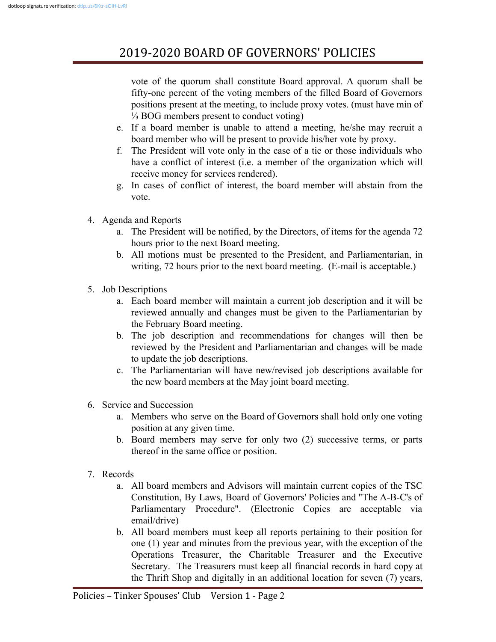vote of the quorum shall constitute Board approval. A quorum shall be fifty-one percent of the voting members of the filled Board of Governors positions present at the meeting, to include proxy votes. (must have min of ⅓ BOG members present to conduct voting)

- e. If a board member is unable to attend a meeting, he/she may recruit a board member who will be present to provide his/her vote by proxy.
- f. The President will vote only in the case of a tie or those individuals who have a conflict of interest (i.e. a member of the organization which will receive money for services rendered).
- g. In cases of conflict of interest, the board member will abstain from the vote.
- 4. Agenda and Reports
	- a. The President will be notified, by the Directors, of items for the agenda 72 hours prior to the next Board meeting.
	- b. All motions must be presented to the President, and Parliamentarian, in writing, 72 hours prior to the next board meeting. (E-mail is acceptable.)
- 5. Job Descriptions
	- a. Each board member will maintain a current job description and it will be reviewed annually and changes must be given to the Parliamentarian by the February Board meeting.
	- b. The job description and recommendations for changes will then be reviewed by the President and Parliamentarian and changes will be made to update the job descriptions.
	- c. The Parliamentarian will have new/revised job descriptions available for the new board members at the May joint board meeting.
- 6. Service and Succession
	- a. Members who serve on the Board of Governors shall hold only one voting position at any given time.
	- b. Board members may serve for only two (2) successive terms, or parts thereof in the same office or position.
- 7. Records
	- a. All board members and Advisors will maintain current copies of the TSC Constitution, By Laws, Board of Governors' Policies and "The A-B-C's of Parliamentary Procedure". (Electronic Copies are acceptable via email/drive)
	- b. All board members must keep all reports pertaining to their position for one (1) year and minutes from the previous year, with the exception of the Operations Treasurer, the Charitable Treasurer and the Executive Secretary. The Treasurers must keep all financial records in hard copy at the Thrift Shop and digitally in an additional location for seven (7) years,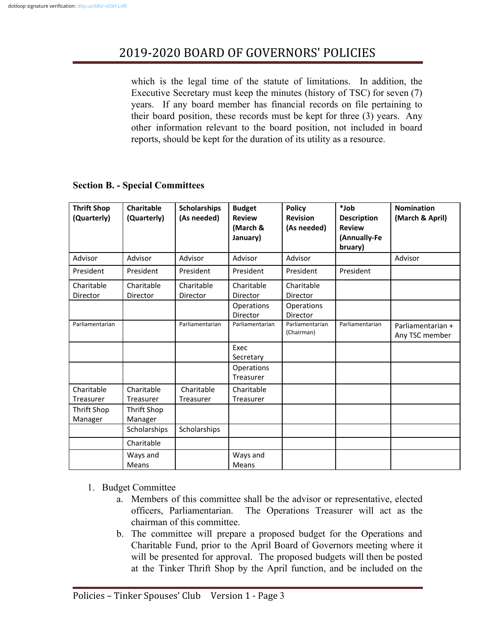which is the legal time of the statute of limitations. In addition, the Executive Secretary must keep the minutes (history of TSC) for seven (7) years. If any board member has financial records on file pertaining to their board position, these records must be kept for three (3) years. Any other information relevant to the board position, not included in board reports, should be kept for the duration of its utility as a resource.

### **Section B. - Special Committees**

| <b>Thrift Shop</b><br>(Quarterly) | Charitable<br>(Quarterly)      | <b>Scholarships</b><br>(As needed) | <b>Budget</b><br><b>Review</b><br>(March &<br>January) | <b>Policy</b><br><b>Revision</b><br>(As needed) | $*$ Job<br><b>Description</b><br><b>Review</b><br>(Annually-Fe<br>bruary) | <b>Nomination</b><br>(March & April) |
|-----------------------------------|--------------------------------|------------------------------------|--------------------------------------------------------|-------------------------------------------------|---------------------------------------------------------------------------|--------------------------------------|
| Advisor                           | Advisor                        | Advisor                            | Advisor                                                | Advisor                                         |                                                                           | Advisor                              |
| President                         | President                      | President                          | President                                              | President                                       | President                                                                 |                                      |
| Charitable<br>Director            | Charitable<br>Director         | Charitable<br>Director             | Charitable<br><b>Director</b>                          | Charitable<br>Director                          |                                                                           |                                      |
|                                   |                                |                                    | Operations<br><b>Director</b>                          | Operations<br>Director                          |                                                                           |                                      |
| Parliamentarian                   |                                | Parliamentarian                    | Parliamentarian                                        | Parliamentarian<br>(Chairman)                   | Parliamentarian                                                           | Parliamentarian +<br>Any TSC member  |
|                                   |                                |                                    | Exec<br>Secretary                                      |                                                 |                                                                           |                                      |
|                                   |                                |                                    | Operations<br>Treasurer                                |                                                 |                                                                           |                                      |
| Charitable<br>Treasurer           | Charitable<br><b>Treasurer</b> | Charitable<br>Treasurer            | Charitable<br>Treasurer                                |                                                 |                                                                           |                                      |
| Thrift Shop<br>Manager            | Thrift Shop<br>Manager         |                                    |                                                        |                                                 |                                                                           |                                      |
|                                   | Scholarships                   | Scholarships                       |                                                        |                                                 |                                                                           |                                      |
|                                   | Charitable                     |                                    |                                                        |                                                 |                                                                           |                                      |
|                                   | Ways and<br><b>Means</b>       |                                    | Ways and<br><b>Means</b>                               |                                                 |                                                                           |                                      |

- 1. Budget Committee
	- a. Members of this committee shall be the advisor or representative, elected officers, Parliamentarian. The Operations Treasurer will act as the chairman of this committee.
	- b. The committee will prepare a proposed budget for the Operations and Charitable Fund, prior to the April Board of Governors meeting where it will be presented for approval. The proposed budgets will then be posted at the Tinker Thrift Shop by the April function, and be included on the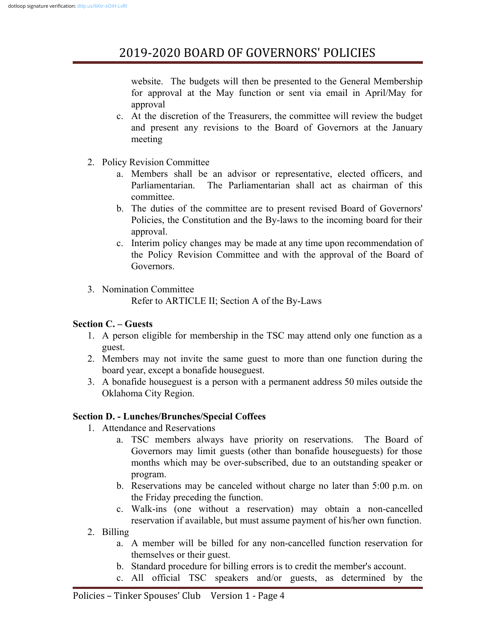website. The budgets will then be presented to the General Membership for approval at the May function or sent via email in April/May for approval

- c. At the discretion of the Treasurers, the committee will review the budget and present any revisions to the Board of Governors at the January meeting
- 2. Policy Revision Committee
	- a. Members shall be an advisor or representative, elected officers, and Parliamentarian. The Parliamentarian shall act as chairman of this committee.
	- b. The duties of the committee are to present revised Board of Governors' Policies, the Constitution and the By-laws to the incoming board for their approval.
	- c. Interim policy changes may be made at any time upon recommendation of the Policy Revision Committee and with the approval of the Board of **Governors**
- 3. Nomination Committee

Refer to ARTICLE II; Section A of the By-Laws

### **Section C. – Guests**

- 1. A person eligible for membership in the TSC may attend only one function as a guest.
- 2. Members may not invite the same guest to more than one function during the board year, except a bonafide houseguest.
- 3. A bonafide houseguest is a person with a permanent address 50 miles outside the Oklahoma City Region.

### **Section D. - Lunches/Brunches/Special Coffees**

- 1. Attendance and Reservations
	- a. TSC members always have priority on reservations. The Board of Governors may limit guests (other than bonafide houseguests) for those months which may be over-subscribed, due to an outstanding speaker or program.
	- b. Reservations may be canceled without charge no later than 5:00 p.m. on the Friday preceding the function.
	- c. Walk-ins (one without a reservation) may obtain a non-cancelled reservation if available, but must assume payment of his/her own function.
- 2. Billing
	- a. A member will be billed for any non-cancelled function reservation for themselves or their guest.
	- b. Standard procedure for billing errors is to credit the member's account.
	- c. All official TSC speakers and/or guests, as determined by the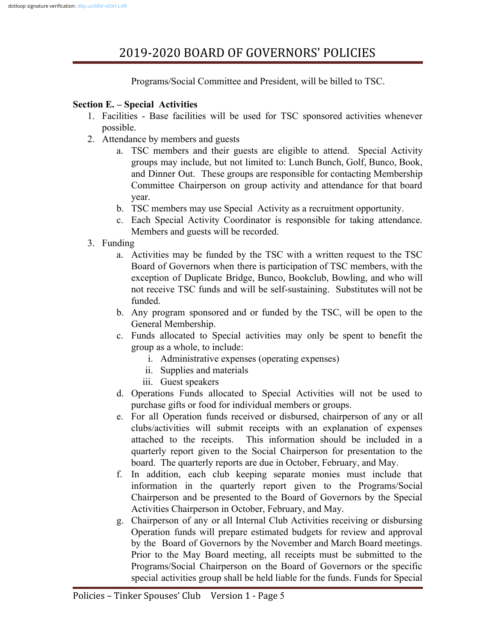Programs/Social Committee and President, will be billed to TSC.

### **Section E. – Special Activities**

- 1. Facilities Base facilities will be used for TSC sponsored activities whenever possible.
- 2. Attendance by members and guests
	- a. TSC members and their guests are eligible to attend. Special Activity groups may include, but not limited to: Lunch Bunch, Golf, Bunco, Book, and Dinner Out. These groups are responsible for contacting Membership Committee Chairperson on group activity and attendance for that board year.
	- b. TSC members may use Special Activity as a recruitment opportunity.
	- c. Each Special Activity Coordinator is responsible for taking attendance. Members and guests will be recorded.
- 3. Funding
	- a. Activities may be funded by the TSC with a written request to the TSC Board of Governors when there is participation of TSC members, with the exception of Duplicate Bridge, Bunco, Bookclub, Bowling, and who will not receive TSC funds and will be self-sustaining. Substitutes will not be funded.
	- b. Any program sponsored and or funded by the TSC, will be open to the General Membership.
	- c. Funds allocated to Special activities may only be spent to benefit the group as a whole, to include:
		- i. Administrative expenses (operating expenses)
		- ii. Supplies and materials
		- iii. Guest speakers
	- d. Operations Funds allocated to Special Activities will not be used to purchase gifts or food for individual members or groups.
	- e. For all Operation funds received or disbursed, chairperson of any or all clubs/activities will submit receipts with an explanation of expenses attached to the receipts. This information should be included in a quarterly report given to the Social Chairperson for presentation to the board. The quarterly reports are due in October, February, and May.
	- f. In addition, each club keeping separate monies must include that information in the quarterly report given to the Programs/Social Chairperson and be presented to the Board of Governors by the Special Activities Chairperson in October, February, and May.
	- g. Chairperson of any or all Internal Club Activities receiving or disbursing Operation funds will prepare estimated budgets for review and approval by the Board of Governors by the November and March Board meetings. Prior to the May Board meeting, all receipts must be submitted to the Programs/Social Chairperson on the Board of Governors or the specific special activities group shall be held liable for the funds. Funds for Special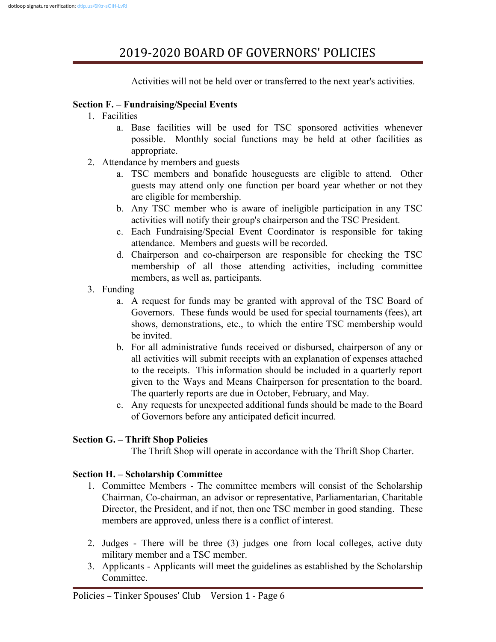Activities will not be held over or transferred to the next year's activities.

#### **Section F. – Fundraising/Special Events**

- 1. Facilities
	- a. Base facilities will be used for TSC sponsored activities whenever possible. Monthly social functions may be held at other facilities as appropriate.
- 2. Attendance by members and guests
	- a. TSC members and bonafide houseguests are eligible to attend. Other guests may attend only one function per board year whether or not they are eligible for membership.
	- b. Any TSC member who is aware of ineligible participation in any TSC activities will notify their group's chairperson and the TSC President.
	- c. Each Fundraising/Special Event Coordinator is responsible for taking attendance. Members and guests will be recorded.
	- d. Chairperson and co-chairperson are responsible for checking the TSC membership of all those attending activities, including committee members, as well as, participants.
- 3. Funding
	- a. A request for funds may be granted with approval of the TSC Board of Governors. These funds would be used for special tournaments (fees), art shows, demonstrations, etc., to which the entire TSC membership would be invited.
	- b. For all administrative funds received or disbursed, chairperson of any or all activities will submit receipts with an explanation of expenses attached to the receipts. This information should be included in a quarterly report given to the Ways and Means Chairperson for presentation to the board. The quarterly reports are due in October, February, and May.
	- c. Any requests for unexpected additional funds should be made to the Board of Governors before any anticipated deficit incurred.

### **Section G. – Thrift Shop Policies**

The Thrift Shop will operate in accordance with the Thrift Shop Charter.

### **Section H. – Scholarship Committee**

- 1. Committee Members The committee members will consist of the Scholarship Chairman, Co-chairman, an advisor or representative, Parliamentarian, Charitable Director, the President, and if not, then one TSC member in good standing. These members are approved, unless there is a conflict of interest.
- 2. Judges There will be three (3) judges one from local colleges, active duty military member and a TSC member.
- 3. Applicants Applicants will meet the guidelines as established by the Scholarship **Committee**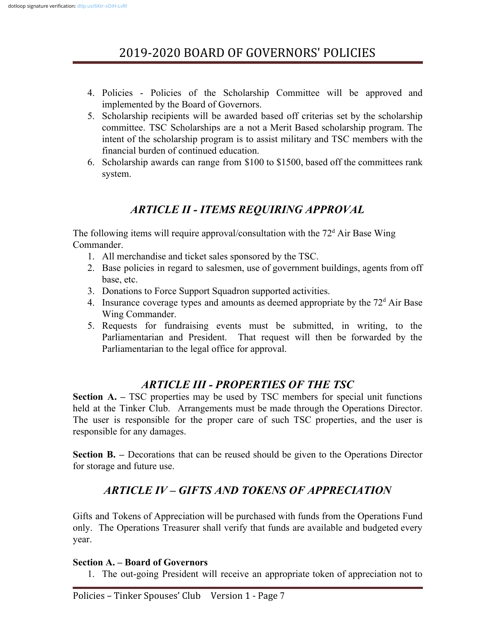- 4. Policies Policies of the Scholarship Committee will be approved and implemented by the Board of Governors.
- 5. Scholarship recipients will be awarded based off criterias set by the scholarship committee. TSC Scholarships are a not a Merit Based scholarship program. The intent of the scholarship program is to assist military and TSC members with the financial burden of continued education.
- 6. Scholarship awards can range from \$100 to \$1500, based off the committees rank system.

## *ARTICLE II - ITEMS REQUIRING APPROVAL*

The following items will require approval/consultation with the  $72<sup>d</sup>$  Air Base Wing Commander.

- 1. All merchandise and ticket sales sponsored by the TSC.
- 2. Base policies in regard to salesmen, use of government buildings, agents from off base, etc.
- 3. Donations to Force Support Squadron supported activities.
- 4. Insurance coverage types and amounts as deemed appropriate by the  $72<sup>d</sup>$  Air Base Wing Commander.
- 5. Requests for fundraising events must be submitted, in writing, to the Parliamentarian and President. That request will then be forwarded by the Parliamentarian to the legal office for approval.

## *ARTICLE III - PROPERTIES OF THE TSC*

**Section A. –** TSC properties may be used by TSC members for special unit functions held at the Tinker Club. Arrangements must be made through the Operations Director. The user is responsible for the proper care of such TSC properties, and the user is responsible for any damages.

**Section <b>B.** – Decorations that can be reused should be given to the Operations Director for storage and future use.

## *ARTICLE IV – GIFTS AND TOKENS OF APPRECIATION*

Gifts and Tokens of Appreciation will be purchased with funds from the Operations Fund only. The Operations Treasurer shall verify that funds are available and budgeted every year.

### **Section A. – Board of Governors**

1. The out-going President will receive an appropriate token of appreciation not to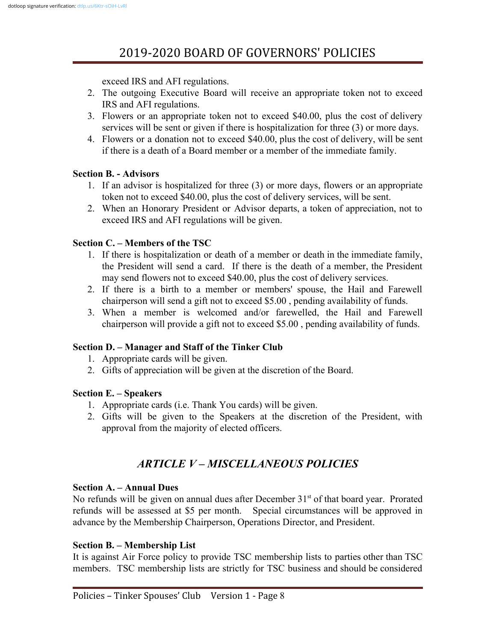exceed IRS and AFI regulations.

- 2. The outgoing Executive Board will receive an appropriate token not to exceed IRS and AFI regulations.
- 3. Flowers or an appropriate token not to exceed \$40.00, plus the cost of delivery services will be sent or given if there is hospitalization for three (3) or more days.
- 4. Flowers or a donation not to exceed \$40.00, plus the cost of delivery, will be sent if there is a death of a Board member or a member of the immediate family.

### **Section B. - Advisors**

- 1. If an advisor is hospitalized for three (3) or more days, flowers or an appropriate token not to exceed \$40.00, plus the cost of delivery services, will be sent.
- 2. When an Honorary President or Advisor departs, a token of appreciation, not to exceed IRS and AFI regulations will be given.

## **Section C. – Members of the TSC**

- 1. If there is hospitalization or death of a member or death in the immediate family, the President will send a card. If there is the death of a member, the President may send flowers not to exceed \$40.00, plus the cost of delivery services.
- 2. If there is a birth to a member or members' spouse, the Hail and Farewell chairperson will send a gift not to exceed \$5.00 , pending availability of funds.
- 3. When a member is welcomed and/or farewelled, the Hail and Farewell chairperson will provide a gift not to exceed \$5.00 , pending availability of funds.

## **Section D. – Manager and Staff of the Tinker Club**

- 1. Appropriate cards will be given.
- 2. Gifts of appreciation will be given at the discretion of the Board.

### **Section E. – Speakers**

- 1. Appropriate cards (i.e. Thank You cards) will be given.
- 2. Gifts will be given to the Speakers at the discretion of the President, with approval from the majority of elected officers.

## *ARTICLE V – MISCELLANEOUS POLICIES*

### **Section A. – Annual Dues**

No refunds will be given on annual dues after December  $31<sup>st</sup>$  of that board year. Prorated refunds will be assessed at \$5 per month. Special circumstances will be approved in advance by the Membership Chairperson, Operations Director, and President.

### **Section B. – Membership List**

It is against Air Force policy to provide TSC membership lists to parties other than TSC members. TSC membership lists are strictly for TSC business and should be considered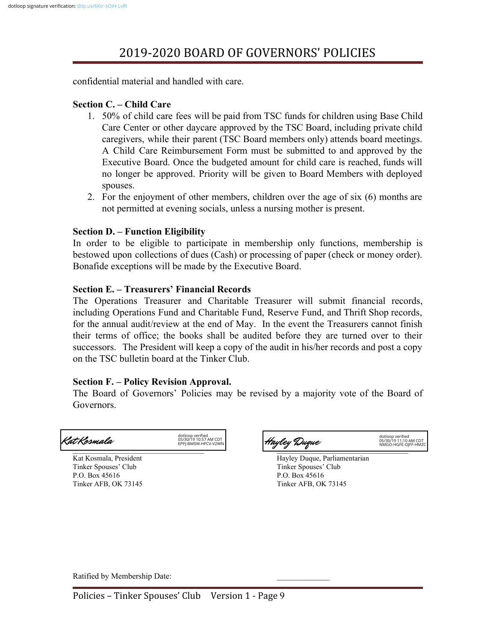confidential material and handled with care.

#### **Section C. – Child Care**

- 1. 50% of child care fees will be paid from TSC funds for children using Base Child Care Center or other daycare approved by the TSC Board, including private child caregivers, while their parent (TSC Board members only) attends board meetings. A Child Care Reimbursement Form must be submitted to and approved by the Executive Board. Once the budgeted amount for child care is reached, funds will no longer be approved. Priority will be given to Board Members with deployed spouses.
- 2. For the enjoyment of other members, children over the age of six (6) months are not permitted at evening socials, unless a nursing mother is present.

#### **Section D. – Function Eligibility**

In order to be eligible to participate in membership only functions, membership is bestowed upon collections of dues (Cash) or processing of paper (check or money order). Bonafide exceptions will be made by the Executive Board.

#### **Section E. – Treasurers' Financial Records**

The Operations Treasurer and Charitable Treasurer will submit financial records, including Operations Fund and Charitable Fund, Reserve Fund, and Thrift Shop records, for the annual audit/review at the end of May. In the event the Treasurers cannot finish their terms of office; the books shall be audited before they are turned over to their successors. The President will keep a copy of the audit in his/her records and post a copy on the TSC bulletin board at the Tinker Club.

#### **Section F. – Policy Revision Approval.**

The Board of Governors' Policies may be revised by a majority vote of the Board of Governors.

## dotlo**o**p verified<br>Cat Kosmala EPPJ-BMSW-HFCV-V2WN

Tinker Spouses' Club Tinker Spouses' Club P.O. Box 45616 P.O. Box 45616 Tinker AFB, OK 73145 Tinker AFB, OK 73145



Kat Kosmala, President **Hayley Duque, Parliamentarian** 

Ratified by Membership Date: